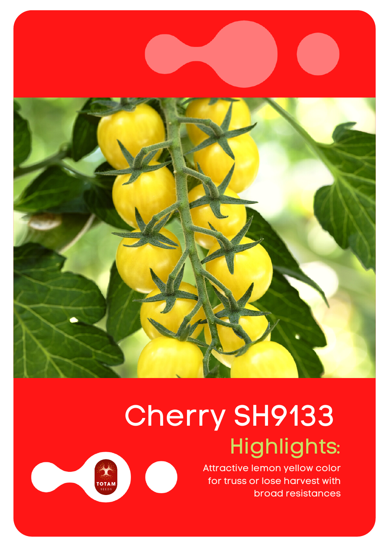

## Highlights: Cherry SH9133

·汤<br>- 汤州苏<br>TOTAM